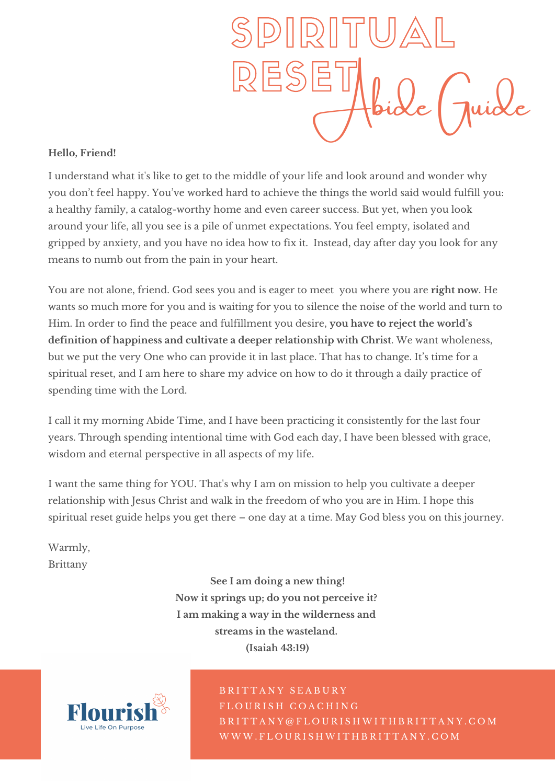

#### **Hello, Friend!**

I understand what it's like to get to the middle of your life and look around and wonder why you don't feel happy. You've worked hard to achieve the things the world said would fulfill you: a healthy family, a catalog-worthy home and even career success. But yet, when you look around your life, all you see is a pile of unmet expectations. You feel empty, isolated and gripped by anxiety, and you have no idea how to fix it. Instead, day after day you look for any means to numb out from the pain in your heart.

You are not alone, friend. God sees you and is eager to meet you where you are **right now**. He wants so much more for you and is waiting for you to silence the noise of the world and turn to Him. In order to find the peace and fulfillment you desire, **you have to reject the world's definition of happiness and cultivate a deeper relationship with Christ**. We want wholeness, but we put the very One who can provide it in last place. That has to change. It's time for a spiritual reset, and I am here to share my advice on how to do it through a daily practice of spending time with the Lord.

I call it my morning Abide Time, and I have been practicing it consistently for the last four years. Through spending intentional time with God each day, I have been blessed with grace, wisdom and eternal perspective in all aspects of my life.

I want the same thing for YOU. That's why I am on mission to help you cultivate a deeper relationship with Jesus Christ and walk in the freedom of who you are in Him. I hope this spiritual reset guide helps you get there – one day at a time. May God bless you on this journey.

Warmly, Brittany

> **See I am doing a new thing! Now it springs up; do you not perceive it? I am making a way in the wilderness and streams in the wasteland. (Isaiah 43:19)**



B R I T T A N Y S E A B U R Y FLOURISH COACHING B R I T T A N Y @ F L O U R I S H W I T H B R I T T A N Y . C O M W W W . F L O U R I S H W I T H B R I T T A N Y . C O M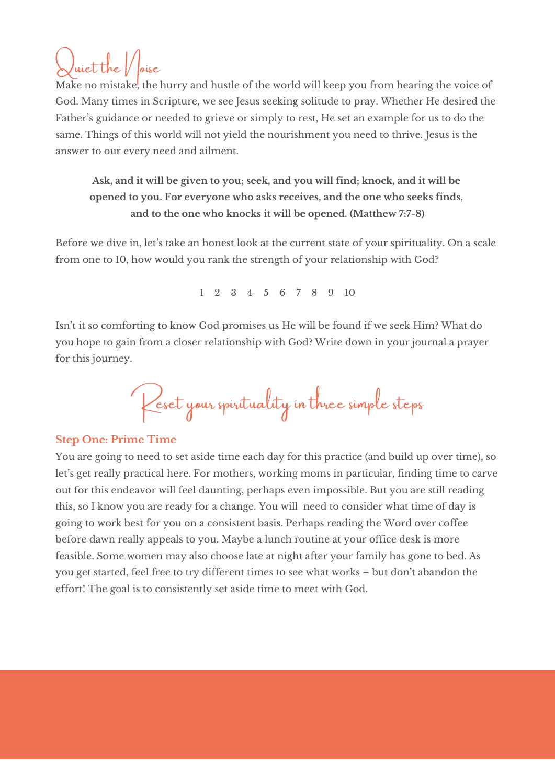# $\mu$ iet the  $\vert/$

Make no mistake, the hurry and hustle of the world will keep you from hearing the voice of God. Many times in Scripture, we see Jesus seeking solitude to pray. Whether He desired the Father's guidance or needed to grieve or simply to rest, He set an example for us to do the same. Things of this world will not yield the nourishment you need to thrive. Jesus is the answer to our every need and ailment.

# **Ask, and it will be given to you; seek, and you will find; knock, and it will be opened to you. For everyone who asks receives, and the one who seeks finds, and to the one who knocks it will be opened. (Matthew 7:7-8)**

Before we dive in, let's take an honest look at the current state of your spirituality. On a scale from one to 10, how would you rank the strength of your relationship with God?

1 2 3 4 5 6 7 8 9 10

Isn't it so comforting to know God promises us He will be found if we seek Him? What do you hope to gain from a closer relationship with God? Write down in your journal a prayer for this journey.

Reset your spirituality in three simple steps

# **Step One: Prime Time**

You are going to need to set aside time each day for this practice (and build up over time), so let's get really practical here. For mothers, working moms in particular, finding time to carve out for this endeavor will feel daunting, perhaps even impossible. But you are still reading this, so I know you are ready for a change. You will need to consider what time of day is going to work best for you on a consistent basis. Perhaps reading the Word over coffee before dawn really appeals to you. Maybe a lunch routine at your office desk is more feasible. Some women may also choose late at night after your family has gone to bed. As you get started, feel free to try different times to see what works – but don't abandon the effort! The goal is to consistently set aside time to meet with God.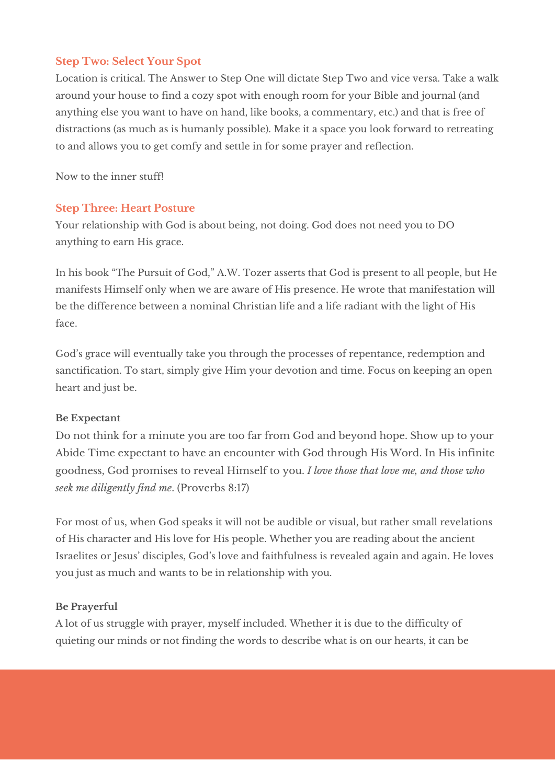## **Step Two: Select Your Spot**

Location is critical. The Answer to Step One will dictate Step Two and vice versa. Take a walk around your house to find a cozy spot with enough room for your Bible and journal (and anything else you want to have on hand, like books, a commentary, etc.) and that is free of distractions (as much as is humanly possible). Make it a space you look forward to retreating to and allows you to get comfy and settle in for some prayer and reflection.

Now to the inner stuff!

## **Step Three: Heart Posture**

Your relationship with God is about being, not doing. God does not need you to DO anything to earn His grace.

In his book "The Pursuit of God," A.W. Tozer asserts that God is present to all people, but He manifests Himself only when we are aware of His presence. He wrote that manifestation will be the difference between a nominal Christian life and a life radiant with the light of His face.

God's grace will eventually take you through the processes of repentance, redemption and sanctification. To start, simply give Him your devotion and time. Focus on keeping an open heart and just be.

### **Be Expectant**

Do not think for a minute you are too far from God and beyond hope. Show up to your Abide Time expectant to have an encounter with God through His Word. In His infinite goodness, God promises to reveal Himself to you. *I love those that love me, and those who seek me diligently find me*. (Proverbs 8:17)

For most of us, when God speaks it will not be audible or visual, but rather small revelations of His character and His love for His people. Whether you are reading about the ancient Israelites or Jesus' disciples, God's love and faithfulness is revealed again and again. He loves you just as much and wants to be in relationship with you.

### **Be Prayerful**

A lot of us struggle with prayer, myself included. Whether it is due to the difficulty of quieting our minds or not finding the words to describe what is on our hearts, it can be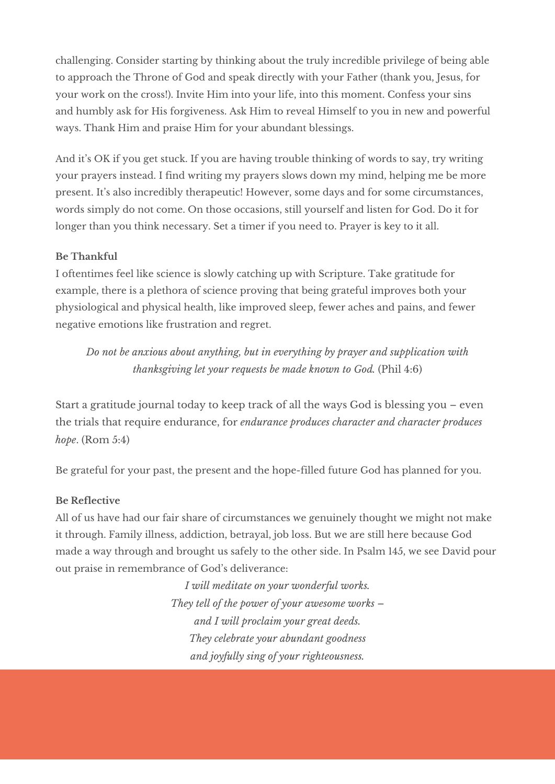challenging. Consider starting by thinking about the truly incredible privilege of being able to approach the Throne of God and speak directly with your Father (thank you, Jesus, for your work on the cross!). Invite Him into your life, into this moment. Confess your sins and humbly ask for His forgiveness. Ask Him to reveal Himself to you in new and powerful ways. Thank Him and praise Him for your abundant blessings.

And it's OK if you get stuck. If you are having trouble thinking of words to say, try writing your prayers instead. I find writing my prayers slows down my mind, helping me be more present. It's also incredibly therapeutic! However, some days and for some circumstances, words simply do not come. On those occasions, still yourself and listen for God. Do it for longer than you think necessary. Set a timer if you need to. Prayer is key to it all.

#### **Be Thankful**

I oftentimes feel like science is slowly catching up with Scripture. Take gratitude for example, there is a plethora of science proving that being grateful improves both your physiological and physical health, like improved sleep, fewer aches and pains, and fewer negative emotions like frustration and regret.

*Do not be anxious about anything, but in everything by prayer and supplication with thanksgiving let your requests be made known to God.* (Phil 4:6)

Start a gratitude journal today to keep track of all the ways God is blessing you – even the trials that require endurance, for *endurance produces character and character produces hope*. (Rom 5:4)

Be grateful for your past, the present and the hope-filled future God has planned for you.

#### **Be Reflective**

All of us have had our fair share of circumstances we genuinely thought we might not make it through. Family illness, addiction, betrayal, job loss. But we are still here because God made a way through and brought us safely to the other side. In Psalm 145, we see David pour out praise in remembrance of God's deliverance:

> *I will meditate on your wonderful works. They tell of the power of your awesome works – and I will proclaim your great deeds. They celebrate your abundant goodness and joyfully sing of your righteousness.*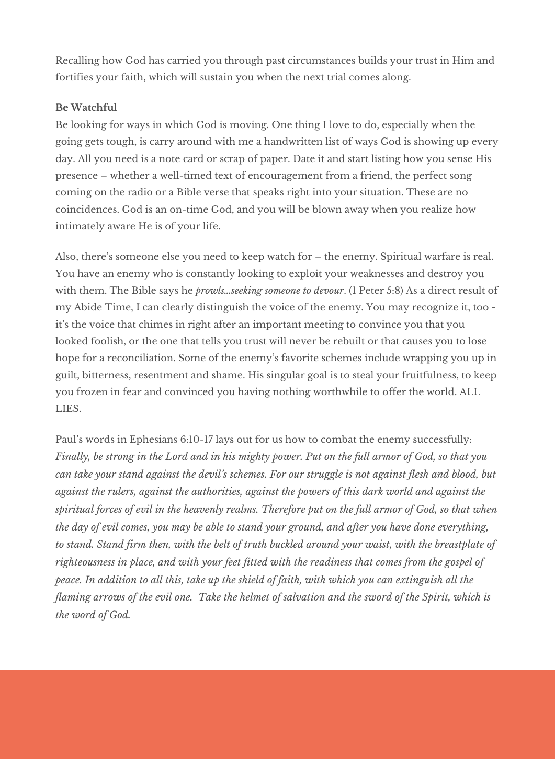Recalling how God has carried you through past circumstances builds your trust in Him and fortifies your faith, which will sustain you when the next trial comes along.

#### **Be Watchful**

Be looking for ways in which God is moving. One thing I love to do, especially when the going gets tough, is carry around with me a handwritten list of ways God is showing up every day. All you need is a note card or scrap of paper. Date it and start listing how you sense His presence – whether a well-timed text of encouragement from a friend, the perfect song coming on the radio or a Bible verse that speaks right into your situation. These are no coincidences. God is an on-time God, and you will be blown away when you realize how intimately aware He is of your life.

Also, there's someone else you need to keep watch for – the enemy. Spiritual warfare is real. You have an enemy who is constantly looking to exploit your weaknesses and destroy you with them. The Bible says he *prowls…seeking someone to devour*. (1 Peter 5:8) As a direct result of my Abide Time, I can clearly distinguish the voice of the enemy. You may recognize it, too it's the voice that chimes in right after an important meeting to convince you that you looked foolish, or the one that tells you trust will never be rebuilt or that causes you to lose hope for a reconciliation. Some of the enemy's favorite schemes include wrapping you up in guilt, bitterness, resentment and shame. His singular goal is to steal your fruitfulness, to keep you frozen in fear and convinced you having nothing worthwhile to offer the world. ALL LIES.

Paul's words in Ephesians 6:10-17 lays out for us how to combat the enemy successfully: Finally, be strong in the Lord and in his mighty power. Put on the full armor of God, so that you can take your stand against the devil's schemes. For our struggle is not against flesh and blood, but *against the rulers, against the authorities, against the powers of this dark world and against the* spiritual forces of evil in the heavenly realms. Therefore put on the full armor of God, so that when the day of evil comes, you may be able to stand your ground, and after you have done everything, to stand. Stand firm then, with the belt of truth buckled around your waist, with the breastplate of *righteousness in place, and with your feet fitted with the readiness that comes from the gospel of* peace. In addition to all this, take up the shield of faith, with which you can extinguish all the flaming arrows of the evil one. Take the helmet of salvation and the sword of the Spirit, which is *the word of God.*